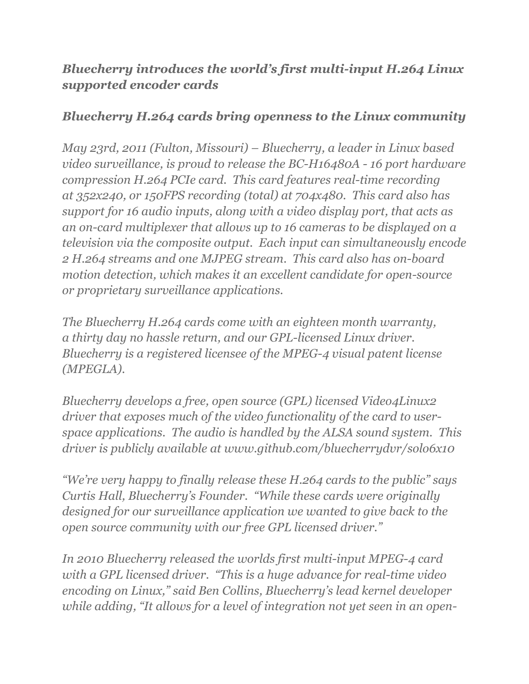## *Bluecherry introduces the world's first multi-input H.264 Linux supported encoder cards*

## *Bluecherry H.264 cards bring openness to the Linux community*

*May 23rd, 2011 (Fulton, Missouri) – Bluecherry, a leader in Linux based video surveillance, is proud to release the BC-H16480A - 16 port hardware compression H.264 PCIe card. This card features real-time recording at 352x240, or 150FPS recording (total) at 704x480. This card also has support for 16 audio inputs, along with a video display port, that acts as an on-card multiplexer that allows up to 16 cameras to be displayed on a television via the composite output. Each input can simultaneously encode 2 H.264 streams and one MJPEG stream. This card also has on-board motion detection, which makes it an excellent candidate for open-source or proprietary surveillance applications.*

*The Bluecherry H.264 cards come with an eighteen month warranty, a thirty day no hassle return, and our GPL-licensed Linux driver. Bluecherry is a registered licensee of the MPEG-4 visual patent license (MPEGLA).*

*Bluecherry develops a free, open source (GPL) licensed Video4Linux2 driver that exposes much of the video functionality of the card to userspace applications. The audio is handled by the ALSA sound system. This driver is publicly available at www.github.com/bluecherrydvr/solo6x10*

*"We're very happy to finally release these H.264 cards to the public" says Curtis Hall, Bluecherry's Founder. "While these cards were originally designed for our surveillance application we wanted to give back to the open source community with our free GPL licensed driver."*

*In 2010 Bluecherry released the worlds first multi-input MPEG-4 card with a GPL licensed driver. "This is a huge advance for real-time video encoding on Linux," said Ben Collins, Bluecherry's lead kernel developer while adding, "It allows for a level of integration not yet seen in an open-*